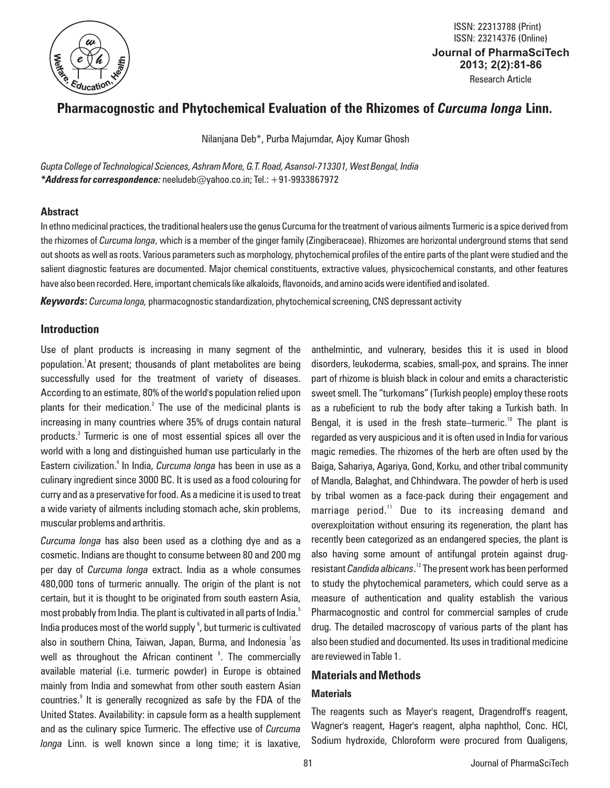

**Journal of PharmaSciTech 2013; 2(2):81-86** Research Article ISSN: 22313788 (Print) ISSN: 23214376 (Online)

# **Pharmacognostic and Phytochemical Evaluation of the Rhizomes of** *Curcuma longa* **Linn.**

Nilanjana Deb\*, Purba Majumdar, Ajoy Kumar Ghosh

*Gupta College of Technological Sciences, Ashram More, G.T. Road, Asansol-713301, West Bengal, India \*Address for correspondence:* neeludeb@yahoo.co.in; Tel.: +91-9933867972

# **Abstract**

In ethno medicinal practices, the traditional healers use the genus Curcuma for the treatment of various ailments Turmeric is a spice derived from the rhizomes of *Curcuma longa*, which is a member of the ginger family (Zingiberaceae). Rhizomes are horizontal underground stems that send out shoots as well as roots. Various parameters such as morphology, phytochemical profiles of the entire parts of the plant were studied and the salient diagnostic features are documented. Major chemical constituents, extractive values, physicochemical constants, and other features have also been recorded. Here, important chemicals like alkaloids, flavonoids, and amino acids were identified and isolated.

*Keywords***:** *Curcuma longa,* pharmacognostic standardization, phytochemical screening, CNS depressant activity

# **Introduction**

Use of plant products is increasing in many segment of the population.<sup>1</sup>At present; thousands of plant metabolites are being successfully used for the treatment of variety of diseases. According to an estimate, 80% of the world's population relied upon plants for their medication.<sup>2</sup> The use of the medicinal plants is increasing in many countries where 35% of drugs contain natural products.<sup>3</sup> Turmeric is one of most essential spices all over the world with a long and distinguished human use particularly in the Eastern civilization.<sup>4</sup> In India, *Curcuma longa* has been in use as a culinary ingredient since 3000 BC. It is used as a food colouring for curry and as a preservative for food. As a medicine it is used to treat a wide variety of ailments including stomach ache, skin problems, muscular problems and arthritis.

*Curcuma longa* has also been used as a clothing dye and as a cosmetic. Indians are thought to consume between 80 and 200 mg per day of *Curcuma longa* extract. India as a whole consumes 480,000 tons of turmeric annually. The origin of the plant is not certain, but it is thought to be originated from south eastern Asia, most probably from India. The plant is cultivated in all parts of India.<sup>5</sup> India produces most of the world supply<sup>6</sup>, but turmeric is cultivated also in southern China, Taiwan, Japan, Burma, and Indonesia <sup>7</sup>as well as throughout the African continent <sup>8</sup>. The commercially available material (i.e. turmeric powder) in Europe is obtained mainly from India and somewhat from other south eastern Asian countries.<sup>9</sup> It is generally recognized as safe by the FDA of the United States. Availability: in capsule form as a health supplement and as the culinary spice Turmeric. The effective use of *Curcuma longa* Linn. is well known since a long time; it is laxative,

anthelmintic, and vulnerary, besides this it is used in blood disorders, leukoderma, scabies, small-pox, and sprains. The inner part of rhizome is bluish black in colour and emits a characteristic sweet smell. The "turkomans" (Turkish people) employ these roots as a rubeficient to rub the body after taking a Turkish bath. In Bengal, it is used in the fresh state–turmeric.<sup>10</sup> The plant is regarded as very auspicious and it is often used in India for various magic remedies. The rhizomes of the herb are often used by the Baiga, Sahariya, Agariya, Gond, Korku, and other tribal community of Mandla, Balaghat, and Chhindwara. The powder of herb is used by tribal women as a face-pack during their engagement and marriage period.<sup>11</sup> Due to its increasing demand and overexploitation without ensuring its regeneration, the plant has recently been categorized as an endangered species, the plant is also having some amount of antifungal protein against drugresistant *Candida albicans*.<sup>12</sup> The present work has been performed to study the phytochemical parameters, which could serve as a measure of authentication and quality establish the various Pharmacognostic and control for commercial samples of crude drug. The detailed macroscopy of various parts of the plant has also been studied and documented. Its uses in traditional medicine are reviewed in Table 1.

# **Materials and Methods**

# **Materials**

The reagents such as Mayer's reagent, Dragendroff's reagent, Wagner's reagent, Hager's reagent, alpha naphthol, Conc. HCl, Sodium hydroxide, Chloroform were procured from Qualigens,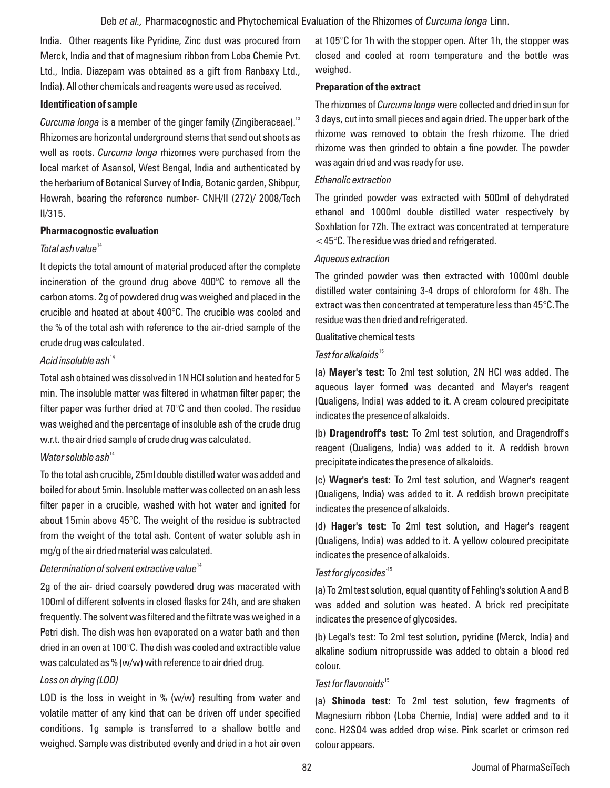India. Other reagents like Pyridine, Zinc dust was procured from Merck, India and that of magnesium ribbon from Loba Chemie Pvt. Ltd., India. Diazepam was obtained as a gift from Ranbaxy Ltd., India). All other chemicals and reagents were used as received.

#### **Identification of sample**

Curcuma longa is a member of the ginger family (Zingiberaceae).<sup>13</sup> Rhizomes are horizontal underground stems that send out shoots as well as roots. *Curcuma longa* rhizomes were purchased from the local market of Asansol, West Bengal, India and authenticated by the herbarium of Botanical Survey of India, Botanic garden, Shibpur, Howrah, bearing the reference number- CNH/II (272)/ 2008/Tech II/315.

#### **Pharmacognostic evaluation**

# <sup>14</sup> *Total ash value*

It depicts the total amount of material produced after the complete incineration of the ground drug above 400°C to remove all the carbon atoms. 2g of powdered drug was weighed and placed in the crucible and heated at about 400°C. The crucible was cooled and the % of the total ash with reference to the air-dried sample of the crude drug was calculated.

#### <sup>14</sup>*Acid insoluble ash*

Total ash obtained was dissolved in 1N HCl solution and heated for 5 min. The insoluble matter was filtered in whatman filter paper; the filter paper was further dried at 70°C and then cooled. The residue was weighed and the percentage of insoluble ash of the crude drug w.r.t. the air dried sample of crude drug was calculated.

# <sup>14</sup> *Water soluble ash*

To the total ash crucible, 25ml double distilled water was added and boiled for about 5min. Insoluble matter was collected on an ash less filter paper in a crucible, washed with hot water and ignited for about 15min above 45°C. The weight of the residue is subtracted from the weight of the total ash. Content of water soluble ash in mg/g of the air dried material was calculated.

# <sup>14</sup> *Determination of solvent extractive value*

2g of the air- dried coarsely powdered drug was macerated with 100ml of different solvents in closed flasks for 24h, and are shaken frequently. The solvent was filtered and the filtrate was weighed in a Petri dish. The dish was hen evaporated on a water bath and then dried in an oven at 100°C. The dish was cooled and extractible value was calculated as % (w/w) with reference to air dried drug.

# *Loss on drying (LOD)*

LOD is the loss in weight in % (w/w) resulting from water and volatile matter of any kind that can be driven off under specified conditions. 1g sample is transferred to a shallow bottle and weighed. Sample was distributed evenly and dried in a hot air oven at 105°C for 1h with the stopper open. After 1h, the stopper was closed and cooled at room temperature and the bottle was weighed.

# **Preparation of the extract**

The rhizomes of *Curcuma longa* were collected and dried in sun for 3 days, cut into small pieces and again dried. The upper bark of the rhizome was removed to obtain the fresh rhizome. The dried rhizome was then grinded to obtain a fine powder. The powder was again dried and was ready for use.

# *Ethanolic extraction*

The grinded powder was extracted with 500ml of dehydrated ethanol and 1000ml double distilled water respectively by Soxhlation for 72h. The extract was concentrated at temperature  $<$ 45 $^{\circ}$ C. The residue was dried and refrigerated.

# *Aqueous extraction*

The grinded powder was then extracted with 1000ml double distilled water containing 3-4 drops of chloroform for 48h. The extract was then concentrated at temperature less than 45°C.The residue was then dried and refrigerated.

#### Qualitative chemical tests

#### <sup>15</sup> *Test for alkaloids*

(a) **Mayer's test:** To 2ml test solution, 2N HCl was added. The aqueous layer formed was decanted and Mayer's reagent (Qualigens, India) was added to it. A cream coloured precipitate indicates the presence of alkaloids.

(b) **Dragendroff's test:** To 2ml test solution, and Dragendroff's reagent (Qualigens, India) was added to it. A reddish brown precipitate indicates the presence of alkaloids.

(c) **Wagner's test:** To 2ml test solution, and Wagner's reagent (Qualigens, India) was added to it. A reddish brown precipitate indicates the presence of alkaloids.

(d) **Hager's test:** To 2ml test solution, and Hager's reagent (Qualigens, India) was added to it. A yellow coloured precipitate indicates the presence of alkaloids.

# -15 *Test for glycosides*

(a) To 2ml test solution, equal quantity of Fehling's solution A and B was added and solution was heated. A brick red precipitate indicates the presence of glycosides.

(b) Legal's test: To 2ml test solution, pyridine (Merck, India) and alkaline sodium nitroprusside was added to obtain a blood red colour.

# <sup>15</sup> *Test for flavonoids*

(a) **Shinoda test:** To 2ml test solution, few fragments of Magnesium ribbon (Loba Chemie, India) were added and to it conc. H2SO4 was added drop wise. Pink scarlet or crimson red colour appears.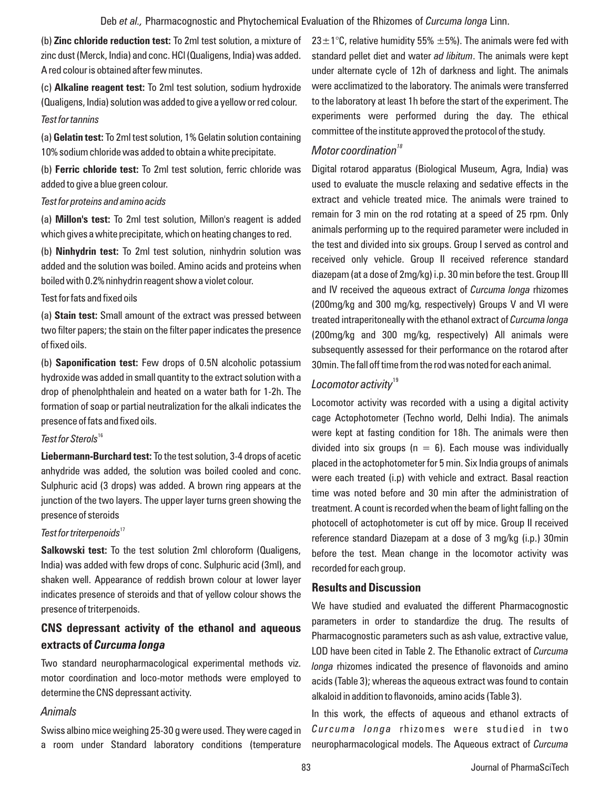(b) **Zinc chloride reduction test:** To 2ml test solution, a mixture of zinc dust (Merck, India) and conc. HCl (Qualigens, India) was added. A red colour is obtained after few minutes.

(c) **Alkaline reagent test:** To 2ml test solution, sodium hydroxide (Qualigens, India) solution was added to give a yellow or red colour. *Test for tannins*

(a) **Gelatin test:** To 2ml test solution, 1% Gelatin solution containing 10% sodium chloride was added to obtain a white precipitate.

(b) **Ferric chloride test:** To 2ml test solution, ferric chloride was added to give a blue green colour.

#### *Test for proteins and amino acids*

(a) **Millon's test:** To 2ml test solution, Millon's reagent is added which gives a white precipitate, which on heating changes to red.

(b) **Ninhydrin test:** To 2ml test solution, ninhydrin solution was added and the solution was boiled. Amino acids and proteins when boiled with 0.2% ninhydrin reagent show a violet colour.

### Test for fats and fixed oils

(a) **Stain test:** Small amount of the extract was pressed between two filter papers; the stain on the filter paper indicates the presence of fixed oils.

(b) **Saponification test:** Few drops of 0.5N alcoholic potassium hydroxide was added in small quantity to the extract solution with a drop of phenolphthalein and heated on a water bath for 1-2h. The formation of soap or partial neutralization for the alkali indicates the presence of fats and fixed oils.

# <sup>16</sup> *Test for Sterols*

**Liebermann-Burchard test:** To the test solution, 3-4 drops of acetic anhydride was added, the solution was boiled cooled and conc. Sulphuric acid (3 drops) was added. A brown ring appears at the junction of the two layers. The upper layer turns green showing the presence of steroids

# <sup>17</sup> *Test for triterpenoids*

**Salkowski test:** To the test solution 2ml chloroform (Qualigens, India) was added with few drops of conc. Sulphuric acid (3ml), and shaken well. Appearance of reddish brown colour at lower layer indicates presence of steroids and that of yellow colour shows the presence of triterpenoids.

# **CNS depressant activity of the ethanol and aqueous extracts of** *Curcuma longa*

Two standard neuropharmacological experimental methods viz. motor coordination and loco-motor methods were employed to determine the CNS depressant activity.

# *Animals*

Swiss albino mice weighing 25-30 g were used. They were caged in a room under Standard laboratory conditions (temperature 23 $\pm$ 1°C, relative humidity 55%  $\pm$ 5%). The animals were fed with standard pellet diet and water *ad libitum*. The animals were kept under alternate cycle of 12h of darkness and light. The animals were acclimatized to the laboratory. The animals were transferred to the laboratory at least 1h before the start of the experiment. The experiments were performed during the day. The ethical committee of the institute approved the protocol of the study.

# *<sup>18</sup> Motor coordination*

Digital rotarod apparatus (Biological Museum, Agra, India) was used to evaluate the muscle relaxing and sedative effects in the extract and vehicle treated mice. The animals were trained to remain for 3 min on the rod rotating at a speed of 25 rpm. Only animals performing up to the required parameter were included in the test and divided into six groups. Group I served as control and received only vehicle. Group II received reference standard diazepam (at a dose of 2mg/kg) i.p. 30 min before the test. Group III and IV received the aqueous extract of *Curcuma longa* rhizomes (200mg/kg and 300 mg/kg, respectively) Groups V and VI were treated intraperitoneally with the ethanol extract of *Curcuma longa* (200mg/kg and 300 mg/kg, respectively) All animals were subsequently assessed for their performance on the rotarod after 30min. The fall off time from the rod was noted for each animal.

# <sup>19</sup> *Locomotor activity*

Locomotor activity was recorded with a using a digital activity cage Actophotometer (Techno world, Delhi India). The animals were kept at fasting condition for 18h. The animals were then divided into six groups ( $n = 6$ ). Each mouse was individually placed in the actophotometer for 5 min. Six India groups of animals were each treated (i.p) with vehicle and extract. Basal reaction time was noted before and 30 min after the administration of treatment. A count is recorded when the beam of light falling on the photocell of actophotometer is cut off by mice. Group II received reference standard Diazepam at a dose of 3 mg/kg (i.p.) 30min before the test. Mean change in the locomotor activity was recorded for each group.

# **Results and Discussion**

We have studied and evaluated the different Pharmacognostic parameters in order to standardize the drug. The results of Pharmacognostic parameters such as ash value, extractive value, LOD have been cited in Table 2. The Ethanolic extract of *Curcuma longa* rhizomes indicated the presence of flavonoids and amino acids (Table 3); whereas the aqueous extract was found to contain alkaloid in addition to flavonoids, amino acids (Table 3).

In this work, the effects of aqueous and ethanol extracts of *Curcuma longa* rhizomes were studied in two neuropharmacological models. The Aqueous extract of *Curcuma*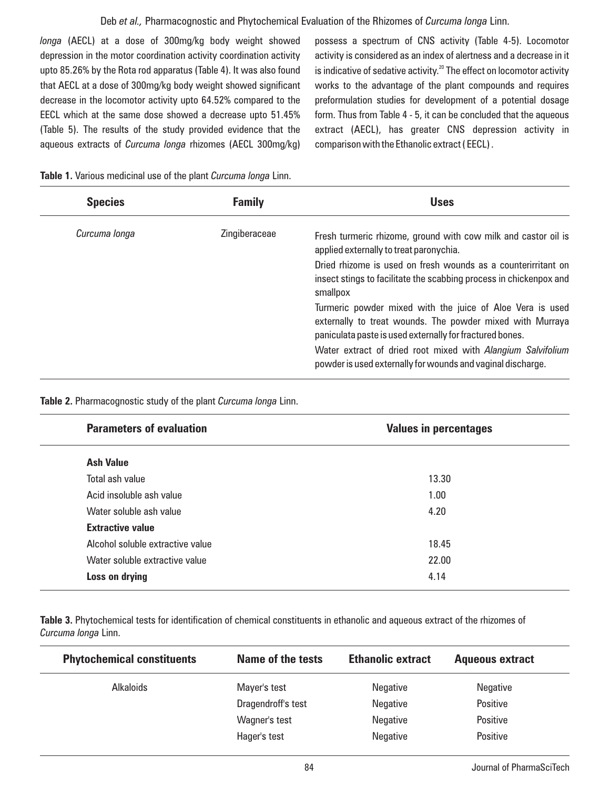# Deb *et al.,* Pharmacognostic and Phytochemical Evaluation of the Rhizomes of *Curcuma longa* Linn.

*longa* (AECL) at a dose of 300mg/kg body weight showed depression in the motor coordination activity coordination activity upto 85.26% by the Rota rod apparatus (Table 4). It was also found that AECL at a dose of 300mg/kg body weight showed significant decrease in the locomotor activity upto 64.52% compared to the EECL which at the same dose showed a decrease upto 51.45% (Table 5). The results of the study provided evidence that the aqueous extracts of *Curcuma longa* rhizomes (AECL 300mg/kg) possess a spectrum of CNS activity (Table 4-5). Locomotor activity is considered as an index of alertness and a decrease in it is indicative of sedative activity.<sup>20</sup> The effect on locomotor activity works to the advantage of the plant compounds and requires preformulation studies for development of a potential dosage form. Thus from Table 4 - 5, it can be concluded that the aqueous extract (AECL), has greater CNS depression activity in comparison with the Ethanolic extract ( EECL) .

|  |  |  | Table 1. Various medicinal use of the plant Curcuma longa Linn. |  |  |  |  |  |  |
|--|--|--|-----------------------------------------------------------------|--|--|--|--|--|--|
|--|--|--|-----------------------------------------------------------------|--|--|--|--|--|--|

| <b>Species</b> | <b>Family</b> | <b>Uses</b>                                                                                                                                                                        |
|----------------|---------------|------------------------------------------------------------------------------------------------------------------------------------------------------------------------------------|
| Curcuma longa  | Zingiberaceae | Fresh turmeric rhizome, ground with cow milk and castor oil is<br>applied externally to treat paronychia.                                                                          |
|                |               | Dried rhizome is used on fresh wounds as a counterirritant on<br>insect stings to facilitate the scabbing process in chickenpox and<br>smallpox                                    |
|                |               | Turmeric powder mixed with the juice of Aloe Vera is used<br>externally to treat wounds. The powder mixed with Murraya<br>paniculata paste is used externally for fractured bones. |
|                |               | Water extract of dried root mixed with Alangium Salvifolium<br>powder is used externally for wounds and vaginal discharge.                                                         |

**Table 2.** Pharmacognostic study of the plant *Curcuma longa* Linn.

| <b>Parameters of evaluation</b>  | <b>Values in percentages</b> |  |
|----------------------------------|------------------------------|--|
| <b>Ash Value</b>                 |                              |  |
| Total ash value                  | 13.30                        |  |
| Acid insoluble ash value         | 1.00                         |  |
| Water soluble ash value          | 4.20                         |  |
| <b>Extractive value</b>          |                              |  |
| Alcohol soluble extractive value | 18.45                        |  |
| Water soluble extractive value   | 22.00                        |  |
| Loss on drying                   | 4.14                         |  |
|                                  |                              |  |

**Table 3.** Phytochemical tests for identification of chemical constituents in ethanolic and aqueous extract of the rhizomes of *Curcuma longa* Linn.

| <b>Phytochemical constituents</b> | Name of the tests  | <b>Ethanolic extract</b> | <b>Aqueous extract</b> |
|-----------------------------------|--------------------|--------------------------|------------------------|
| <b>Alkaloids</b>                  | Mayer's test       | <b>Negative</b>          | Negative               |
|                                   | Dragendroff's test | Negative                 | Positive               |
|                                   | Wagner's test      | <b>Negative</b>          | Positive               |
|                                   | Hager's test       | <b>Negative</b>          | Positive               |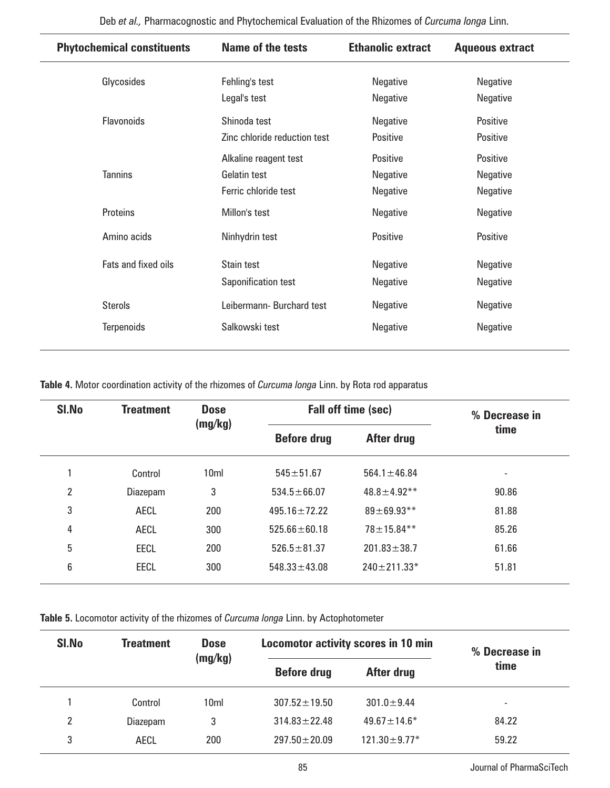| <b>Phytochemical constituents</b> | <b>Name of the tests</b>     | <b>Ethanolic extract</b> | <b>Aqueous extract</b> |
|-----------------------------------|------------------------------|--------------------------|------------------------|
| Glycosides                        | Fehling's test               | Negative                 | Negative               |
|                                   | Legal's test                 | Negative                 | Negative               |
| Flavonoids                        | Shinoda test                 | Negative                 | Positive               |
|                                   | Zinc chloride reduction test | Positive                 | Positive               |
|                                   | Alkaline reagent test        | Positive                 | <b>Positive</b>        |
| <b>Tannins</b>                    | Gelatin test                 | Negative                 | Negative               |
|                                   | Ferric chloride test         | Negative                 | Negative               |
| Proteins                          | Millon's test                | Negative                 | Negative               |
| Amino acids                       | Ninhydrin test               | Positive                 | Positive               |
| Fats and fixed oils               | Stain test                   | Negative                 | Negative               |
|                                   | Saponification test          | Negative                 | Negative               |
| <b>Sterols</b>                    | Leibermann-Burchard test     | Negative                 | Negative               |
| <b>Terpenoids</b>                 | Salkowski test               | Negative                 | Negative               |

**Table 4.** Motor coordination activity of the rhizomes of *Curcuma longa* Linn. by Rota rod apparatus

| SI.No | <b>Treatment</b> | <b>Dose</b><br>(mg/kg) |                    | Fall off time (sec) | % Decrease in |
|-------|------------------|------------------------|--------------------|---------------------|---------------|
|       |                  |                        | <b>Before drug</b> | After drug          | time          |
|       | Control          | 10 <sub>ml</sub>       | $545 \pm 51.67$    | $564.1 \pm 46.84$   | -             |
| 2     | Diazepam         | 3                      | $534.5 \pm 66.07$  | $48.8 \pm 4.92$ **  | 90.86         |
| 3     | AECL             | 200                    | $495.16 \pm 72.22$ | $89 + 69.93**$      | 81.88         |
| 4     | <b>AECL</b>      | 300                    | $525.66 \pm 60.18$ | $78 \pm 15.84***$   | 85.26         |
| 5     | <b>EECL</b>      | 200                    | $526.5 \pm 81.37$  | $201.83 \pm 38.7$   | 61.66         |
| 6     | <b>EECL</b>      | 300                    | $548.33 \pm 43.08$ | $240 \pm 211.33*$   | 51.81         |

**Table 5.** Locomotor activity of the rhizomes of *Curcuma longa* Linn. by Actophotometer

| SI.No | <b>Treatment</b> | <b>Dose</b><br>(mg/kg) | <b>Locomotor activity scores in 10 min</b><br><b>Before drug</b><br>After drug |                     | % Decrease in |
|-------|------------------|------------------------|--------------------------------------------------------------------------------|---------------------|---------------|
|       |                  |                        |                                                                                |                     | time          |
|       | Control          | 10 <sub>ml</sub>       | $307.52 \pm 19.50$                                                             | $301.0 \pm 9.44$    | ۰.            |
| 2     | Diazepam         | 3                      | $314.83 \pm 22.48$                                                             | $49.67 \pm 14.6*$   | 84.22         |
| 3     | AECL             | 200                    | $297.50 \pm 20.09$                                                             | $121.30 \pm 9.77$ * | 59.22         |